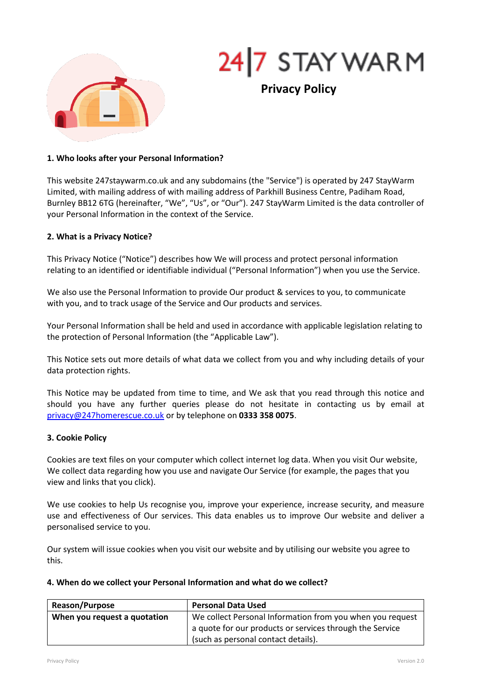

# 24 7 STAY WARM

**Privacy Policy**

#### **1. Who looks after your Personal Information?**

This website 247staywarm.co.uk and any subdomains (the "Service") is operated by 247 StayWarm Limited, with mailing address of with mailing address of Parkhill Business Centre, Padiham Road, Burnley BB12 6TG (hereinafter, "We", "Us", or "Our"). 247 StayWarm Limited is the data controller of your Personal Information in the context of the Service.

#### **2. What is a Privacy Notice?**

This Privacy Notice ("Notice") describes how We will process and protect personal information relating to an identified or identifiable individual ( "Personal Information") when you use the Service.

We also use the Personal Information to provide Our product & services to you, to communicate with you, and to track usage of the Service and Our products and services.

Your Personal Information shall be held and used in accordance with applicable legislation relating to the protection of Personal Information (the "Applicable Law").

This Notice sets out more details of what data we collect from you and why including details of your data protection rights.

This Notice may be updated from time to time, and We ask that you read through this notice and should you have any further queries please do not hesitate in contacting us by email at privacy@247homerescue.co.uk or by telephone on **0333 358 0075**.

#### **3. Cookie Policy**

Cookies are text files on your computer which collect internet log data. When you visit Our website, We collect data regarding how you use and navigate Our Service (for example, the pages that you view and links that you click).

We use cookies to help Us recognise you, improve your experience, increase security, and measure use and effectiveness of Our services. This data enables us to improve Our website and deliver a personalised service to you.

Our system will issue cookies when you visit our website and by utilising our website you agree to this.

#### **4. When do we collect your Personal Information and what do we collect?**

| <b>Reason/Purpose</b>        | <b>Personal Data Used</b>                                 |
|------------------------------|-----------------------------------------------------------|
| When you request a quotation | We collect Personal Information from you when you request |
|                              | a quote for our products or services through the Service  |
|                              | (such as personal contact details).                       |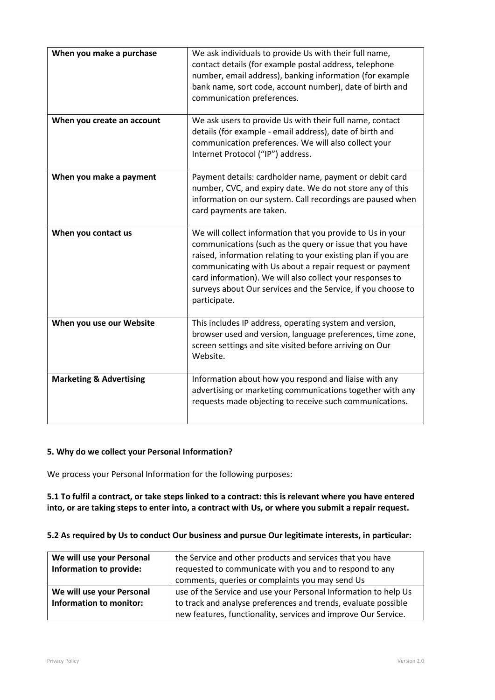| When you make a purchase           | We ask individuals to provide Us with their full name,<br>contact details (for example postal address, telephone<br>number, email address), banking information (for example<br>bank name, sort code, account number), date of birth and<br>communication preferences.                                                                                                                          |
|------------------------------------|-------------------------------------------------------------------------------------------------------------------------------------------------------------------------------------------------------------------------------------------------------------------------------------------------------------------------------------------------------------------------------------------------|
| When you create an account         | We ask users to provide Us with their full name, contact<br>details (for example - email address), date of birth and<br>communication preferences. We will also collect your<br>Internet Protocol ("IP") address.                                                                                                                                                                               |
| When you make a payment            | Payment details: cardholder name, payment or debit card<br>number, CVC, and expiry date. We do not store any of this<br>information on our system. Call recordings are paused when<br>card payments are taken.                                                                                                                                                                                  |
| When you contact us                | We will collect information that you provide to Us in your<br>communications (such as the query or issue that you have<br>raised, information relating to your existing plan if you are<br>communicating with Us about a repair request or payment<br>card information). We will also collect your responses to<br>surveys about Our services and the Service, if you choose to<br>participate. |
| When you use our Website           | This includes IP address, operating system and version,<br>browser used and version, language preferences, time zone,<br>screen settings and site visited before arriving on Our<br>Website.                                                                                                                                                                                                    |
| <b>Marketing &amp; Advertising</b> | Information about how you respond and liaise with any<br>advertising or marketing communications together with any<br>requests made objecting to receive such communications.                                                                                                                                                                                                                   |

# **5. Why do we collect your Personal Information?**

We process your Personal Information for the following purposes:

# 5.1 To fulfil a contract, or take steps linked to a contract: this is relevant where you have entered into, or are taking steps to enter into, a contract with Us, or where you submit a repair request.

# **5.2 As required by Us to conduct Our business and pursue Our legitimate interests, in particular:**

| We will use your Personal<br>Information to provide: | the Service and other products and services that you have<br>requested to communicate with you and to respond to any<br>comments, queries or complaints you may send Us                             |
|------------------------------------------------------|-----------------------------------------------------------------------------------------------------------------------------------------------------------------------------------------------------|
| We will use your Personal<br>Information to monitor: | use of the Service and use your Personal Information to help Us<br>to track and analyse preferences and trends, evaluate possible<br>new features, functionality, services and improve Our Service. |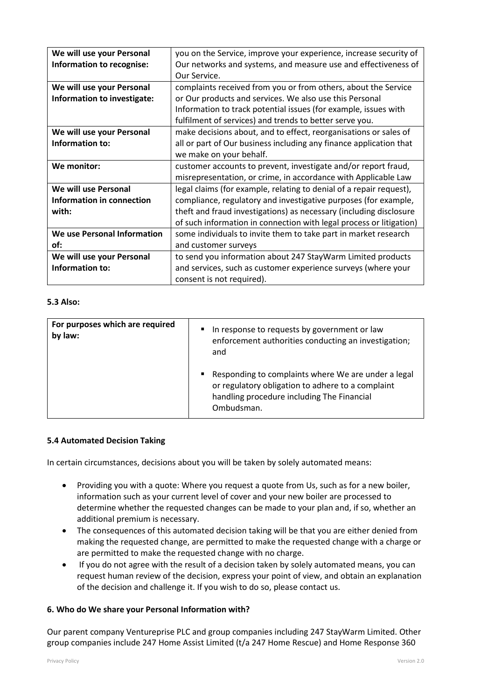| We will use your Personal<br>Information to recognise: | you on the Service, improve your experience, increase security of<br>Our networks and systems, and measure use and effectiveness of |
|--------------------------------------------------------|-------------------------------------------------------------------------------------------------------------------------------------|
|                                                        | Our Service.                                                                                                                        |
| We will use your Personal                              | complaints received from you or from others, about the Service                                                                      |
| Information to investigate:                            | or Our products and services. We also use this Personal                                                                             |
|                                                        | Information to track potential issues (for example, issues with                                                                     |
|                                                        | fulfilment of services) and trends to better serve you.                                                                             |
| We will use your Personal                              | make decisions about, and to effect, reorganisations or sales of                                                                    |
| Information to:                                        | all or part of Our business including any finance application that                                                                  |
|                                                        | we make on your behalf.                                                                                                             |
| We monitor:                                            | customer accounts to prevent, investigate and/or report fraud,                                                                      |
|                                                        | misrepresentation, or crime, in accordance with Applicable Law                                                                      |
| We will use Personal                                   | legal claims (for example, relating to denial of a repair request),                                                                 |
| Information in connection                              | compliance, regulatory and investigative purposes (for example,                                                                     |
| with:                                                  | theft and fraud investigations) as necessary (including disclosure                                                                  |
|                                                        | of such information in connection with legal process or litigation)                                                                 |
| We use Personal Information                            | some individuals to invite them to take part in market research                                                                     |
| of:                                                    | and customer surveys                                                                                                                |
| We will use your Personal                              | to send you information about 247 StayWarm Limited products                                                                         |
| Information to:                                        | and services, such as customer experience surveys (where your                                                                       |
|                                                        | consent is not required).                                                                                                           |

#### **5.3 Also:**

| For purposes which are required<br>by law: | In response to requests by government or law<br>enforcement authorities conducting an investigation;<br>and                                                          |
|--------------------------------------------|----------------------------------------------------------------------------------------------------------------------------------------------------------------------|
|                                            | Responding to complaints where We are under a legal<br>or regulatory obligation to adhere to a complaint<br>handling procedure including The Financial<br>Ombudsman. |

# **5.4 Automated Decision Taking**

In certain circumstances, decisions about you will be taken by solely automated means:

- Providing you with a quote: Where you request a quote from Us, such as for a new boiler, information such as your current level of cover and your new boiler are processed to determine whether the requested changes can be made to your plan and, if so, whether an additional premium is necessary.
- The consequences of this automated decision taking will be that you are either denied from making the requested change, are permitted to make the requested change with a charge or are permitted to make the requested change with no charge.
- If you do not agree with the result of a decision taken by solely automated means, you can request human review of the decision, express your point of view, and obtain an explanation of the decision and challenge it. If you wish to do so, please contact us.

#### **6. Who do We share your Personal Information with?**

Our parent company Ventureprise PLC and group companies including 247 StayWarm Limited. Other group companies include 247 Home Assist Limited (t/a 247 Home Rescue) and Home Response 360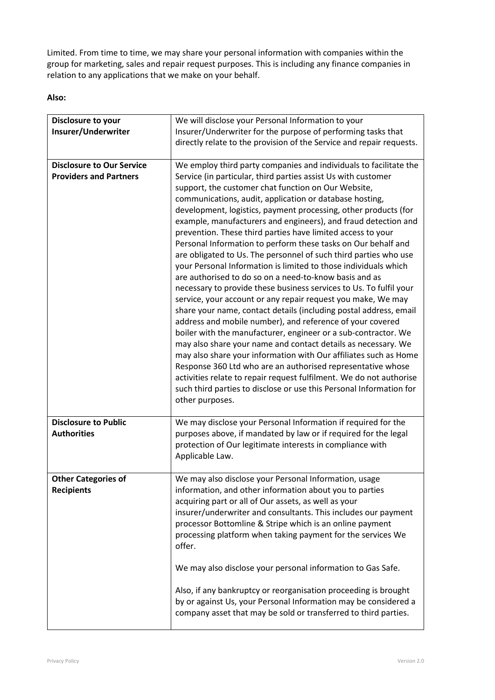Limited. From time to time, we may share your personal information with companies within the group for marketing, sales and repair request purposes. This is including any finance companies in relation to any applications that we make on your behalf.

#### **Also:**

| Disclosure to your<br>Insurer/Underwriter                         | We will disclose your Personal Information to your<br>Insurer/Underwriter for the purpose of performing tasks that<br>directly relate to the provision of the Service and repair requests.                                                                                                                                                                                                                                                                                                                                                                                                                                                                                                                                                                                                                                                                                                                                                                                                                                                                                                                                                                                                                                                                                                                                                                                                                                                |
|-------------------------------------------------------------------|-------------------------------------------------------------------------------------------------------------------------------------------------------------------------------------------------------------------------------------------------------------------------------------------------------------------------------------------------------------------------------------------------------------------------------------------------------------------------------------------------------------------------------------------------------------------------------------------------------------------------------------------------------------------------------------------------------------------------------------------------------------------------------------------------------------------------------------------------------------------------------------------------------------------------------------------------------------------------------------------------------------------------------------------------------------------------------------------------------------------------------------------------------------------------------------------------------------------------------------------------------------------------------------------------------------------------------------------------------------------------------------------------------------------------------------------|
| <b>Disclosure to Our Service</b><br><b>Providers and Partners</b> | We employ third party companies and individuals to facilitate the<br>Service (in particular, third parties assist Us with customer<br>support, the customer chat function on Our Website,<br>communications, audit, application or database hosting,<br>development, logistics, payment processing, other products (for<br>example, manufacturers and engineers), and fraud detection and<br>prevention. These third parties have limited access to your<br>Personal Information to perform these tasks on Our behalf and<br>are obligated to Us. The personnel of such third parties who use<br>your Personal Information is limited to those individuals which<br>are authorised to do so on a need-to-know basis and as<br>necessary to provide these business services to Us. To fulfil your<br>service, your account or any repair request you make, We may<br>share your name, contact details (including postal address, email<br>address and mobile number), and reference of your covered<br>boiler with the manufacturer, engineer or a sub-contractor. We<br>may also share your name and contact details as necessary. We<br>may also share your information with Our affiliates such as Home<br>Response 360 Ltd who are an authorised representative whose<br>activities relate to repair request fulfilment. We do not authorise<br>such third parties to disclose or use this Personal Information for<br>other purposes. |
| <b>Disclosure to Public</b><br><b>Authorities</b>                 | We may disclose your Personal Information if required for the<br>purposes above, if mandated by law or if required for the legal<br>protection of Our legitimate interests in compliance with<br>Applicable Law.                                                                                                                                                                                                                                                                                                                                                                                                                                                                                                                                                                                                                                                                                                                                                                                                                                                                                                                                                                                                                                                                                                                                                                                                                          |
| <b>Other Categories of</b><br><b>Recipients</b>                   | We may also disclose your Personal Information, usage<br>information, and other information about you to parties<br>acquiring part or all of Our assets, as well as your<br>insurer/underwriter and consultants. This includes our payment<br>processor Bottomline & Stripe which is an online payment<br>processing platform when taking payment for the services We<br>offer.                                                                                                                                                                                                                                                                                                                                                                                                                                                                                                                                                                                                                                                                                                                                                                                                                                                                                                                                                                                                                                                           |
|                                                                   | We may also disclose your personal information to Gas Safe.<br>Also, if any bankruptcy or reorganisation proceeding is brought<br>by or against Us, your Personal Information may be considered a<br>company asset that may be sold or transferred to third parties.                                                                                                                                                                                                                                                                                                                                                                                                                                                                                                                                                                                                                                                                                                                                                                                                                                                                                                                                                                                                                                                                                                                                                                      |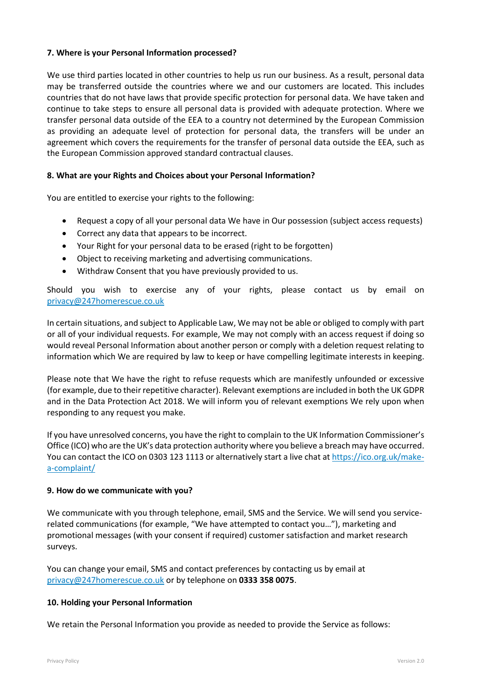#### **7. Where is your Personal Information processed?**

We use third parties located in other countries to help us run our business. As a result, personal data may be transferred outside the countries where we and our customers are located. This includes countries that do not have laws that provide specific protection for personal data. We have taken and continue to take steps to ensure all personal data is provided with adequate protection. Where we transfer personal data outside of the EEA to a country not determined by the European Commission as providing an adequate level of protection for personal data, the transfers will be under an agreement which covers the requirements for the transfer of personal data outside the EEA, such as the European Commission approved standard contractual clauses.

#### **8. What are your Rights and Choices about your Personal Information?**

You are entitled to exercise your rights to the following:

- Request a copy of all your personal data We have in Our possession (subject access requests)
- Correct any data that appears to be incorrect.
- Your Right for your personal data to be erased (right to be forgotten)
- Object to receiving marketing and advertising communications.
- Withdraw Consent that you have previously provided to us.

Should you wish to exercise any of your rights, please contact us by email on [privacy@247homerescue.co.uk](mailto:privacy@247homerescue.co.uk)

In certain situations, and subject to Applicable Law, We may not be able or obliged to comply with part or all of your individual requests. For example, We may not comply with an access request if doing so would reveal Personal Information about another person or comply with a deletion request relating to information which We are required by law to keep or have compelling legitimate interests in keeping.

Please note that We have the right to refuse requests which are manifestly unfounded or excessive (for example, due to their repetitive character). Relevant exemptions are included in both the UK GDPR and in the Data Protection Act 2018. We will inform you of relevant exemptions We rely upon when responding to any request you make.

If you have unresolved concerns, you have the right to complain to the UK Information Commissioner's Office (ICO) who are the UK's data protection authority where you believe a breach may have occurred. You can contact the ICO on 0303 123 1113 or alternatively start a live chat at [https://ico.org.uk/make](https://ico.org.uk/make-a-complaint/)[a-complaint/](https://ico.org.uk/make-a-complaint/)

#### **9. How do we communicate with you?**

We communicate with you through telephone, email, SMS and the Service. We will send you servicerelated communications (for example, "We have attempted to contact you…"), marketing and promotional messages (with your consent if required) customer satisfaction and market research surveys.

You can change your email, SMS and contact preferences by contacting us by email at [privacy@247homerescue.co.uk](mailto:privacy@247homerescue.co.uk) or by telephone on **0333 358 0075**.

#### **10. Holding your Personal Information**

We retain the Personal Information you provide as needed to provide the Service as follows: